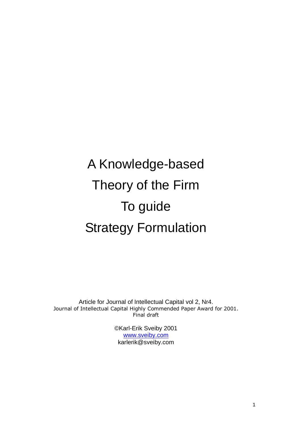# A Knowledge-based Theory of the Firm To guide Strategy Formulation

Article for Journal of Intellectual Capital vol 2, Nr4. Journal of Intellectual Capital Highly Commended Paper Award for 2001. Final draft

> ©Karl-Erik Sveiby 2001 [www.sveiby.com](http://www.sveiby.com/) karlerik@sveiby.com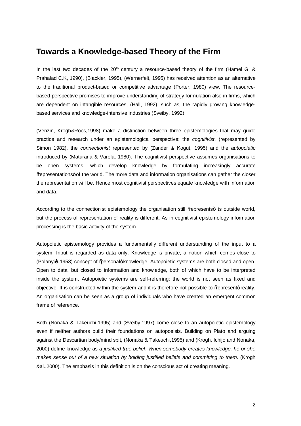# **Towards a Knowledge-based Theory of the Firm**

In the last two decades of the  $20<sup>th</sup>$  century a resource-based theory of the firm (Hamel G. & Prahalad C.K, 1990), (Blackler, 1995), (Wernerfelt, 1995) has received attention as an alternative to the traditional product-based or competitive advantage (Porter, 1980) view. The resourcebased perspective promises to improve understanding of strategy formulation also in firms, which are dependent on intangible resources, (Hall, 1992), such as, the rapidly growing knowledgebased services and knowledge-intensive industries (Sveiby, 1992).

(Venzin, Krogh&Roos,1998) make a distinction between three epistemologies that may guide practice and research under an epistemological perspective: the *cognitivist*, (represented by Simon 1982), the *connectionist* represented by (Zander & Kogut, 1995) and the *autopoietic*  introduced by (Maturana & Varela, 1980). The cognitivist perspective assumes organisations to be open systems, which develop knowledge by formulating increasingly accurate % epresentations+ of the world. The more data and information organisations can gather the closer the representation will be. Hence most cognitivist perspectives equate knowledge with information and data.

According to the connectionist epistemology the organisation still % epresents+ its outside world, but the process of representation of reality is different. As in cognitivist epistemology information processing is the basic activity of the system.

Autopoietic epistemology provides a fundamentally different understanding of the input to a system. Input is regarded as data only. Knowledge is private, a notion which comes close to (Polanyios, 1958) concept of %personal+knowledge. Autopoietic systems are both closed and open. Open to data, but closed to information and knowledge, both of which have to be interpreted inside the system. Autopoietic systems are self-referring; the world is not seen as fixed and objective. It is constructed within the system and it is therefore not possible to % apresent+ reality. An organisation can be seen as a group of individuals who have created an emergent common frame of reference.

Both (Nonaka & Takeuchi,1995) and (Sveiby,1997) come close to an autopoietic epistemology even if neither authors build their foundations on autopoeisis. Building on Plato and arguing against the Descartian body/mind spit, (Nonaka & Takeuchi,1995) and (Krogh, Ichijo and Nonaka, 2000) define knowledge as *a justified true belief*: *When somebody creates knowledge, he or she makes sense out of a new situation by holding justified beliefs and committing to them.* (Krogh &al.,2000). The emphasis in this definition is on the conscious act of creating meaning.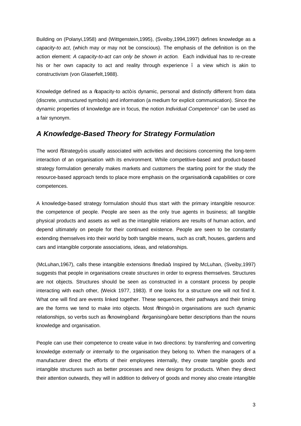Building on (Polanyi,1958) and (Wittgenstein,1995), (Sveiby,1994,1997) defines knowledge as a *capacity-to act*, (which may or may not be conscious). The emphasis of the definition is on the action element: *A capacity-to-act can only be shown in action.* Each individual has to re-create his or her own capacity to act and reality through experience . a view which is akin to constructivism (von Glaserfelt,1988).

Knowledge defined as a %apacity-to act+ is dynamic, personal and distinctly different from data (discrete, unstructured symbols) and information (a medium for explicit communication). Since the dynamic properties of knowledge are in focus, the notion *Individual Competence1* can be used as a fair synonym.

# *A Knowledge-Based Theory for Strategy Formulation*

The word %Strategy+ is usually associated with activities and decisions concerning the long-term interaction of an organisation with its environment. While competitive-based and product-based strategy formulation generally makes markets and customers the starting point for the study the resource-based approach tends to place more emphasis on the organisation's capabilities or core competences.

A knowledge-based strategy formulation should thus start with the primary intangible resource: the competence of people. People are seen as the only true agents in business; all tangible physical products and assets as well as the intangible relations are results of human action, and depend ultimately on people for their continued existence. People are seen to be constantly extending themselves into their world by both tangible means, such as craft, houses, gardens and cars and intangible corporate associations, ideas, and relationships.

(McLuhan, 1967), calls these intangible extensions % media + Inspired by McLuhan, (Sveiby, 1997) suggests that people in organisations create *structures* in order to express themselves. Structures are not objects. Structures should be seen as constructed in a constant process by people interacting with each other, (Weick 1977, 1983). If one looks for a structure one will not find it. What one will find are events linked together. These sequences, their pathways and their timing are the forms we tend to make into objects. Most %bings+ in organisations are such dynamic relationships, so verbs such as \tang\tang\times\times\text{\math}\$ are better descriptions than the nouns knowledge and organisation.

People can use their competence to create value in two directions: by transferring and converting knowledge *externally* or *internally* to the organisation they belong to. When the managers of a manufacturer direct the efforts of their employees internally, they create tangible goods and intangible structures such as better processes and new designs for products. When they direct their attention outwards, they will in addition to delivery of goods and money also create intangible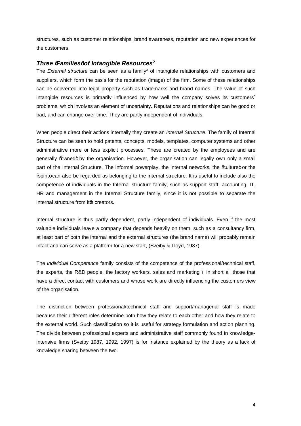structures, such as customer relationships, brand awareness, reputation and new experiences for the customers.

### *Three 'Families' of Intangible Resources2*

The *External structure* can be seen as a family<sup>3</sup> of intangible relationships with customers and suppliers, which form the basis for the reputation (image) of the firm. Some of these relationships can be converted into legal property such as trademarks and brand names. The value of such intangible resources is primarily influenced by how well the company solves its customers´ problems, which involves an element of uncertainty. Reputations and relationships can be good or bad, and can change over time. They are partly independent of individuals.

When people direct their actions internally they create an *Internal Structure*. The family of Internal Structure can be seen to hold patents, concepts, models, templates, computer systems and other administrative more or less explicit processes. These are created by the employees and are generally "bowned+ by the organisation. However, the organisation can legally own only a small part of the Internal Structure. The informal powerplay, the internal networks, the %aulture+ or the "spirit" can also be regarded as belonging to the internal structure. It is useful to include also the competence of individuals in the Internal structure family, such as support staff, accounting, IT, HR and management in the Internal Structure family, since it is not possible to separate the internal structure from its creators.

Internal structure is thus partly dependent, partly independent of individuals. Even if the most valuable individuals leave a company that depends heavily on them, such as a consultancy firm, at least part of both the internal and the external structures (the brand name) will probably remain intact and can serve as a platform for a new start, (Sveiby & Lloyd, 1987).

The *Individual Competence* family consists of the competence of the professional/technical staff, the experts, the R&D people, the factory workers, sales and marketing  $\ldots$  in short all those that have a direct contact with customers and whose work are directly influencing the customers view of the organisation.

The distinction between professional/technical staff and support/managerial staff is made because their different roles determine both how they relate to each other and how they relate to the external world. Such classification so it is useful for strategy formulation and action planning. The divide between professional experts and administrative staff commonly found in knowledgeintensive firms (Sveiby 1987, 1992, 1997) is for instance explained by the theory as a lack of knowledge sharing between the two.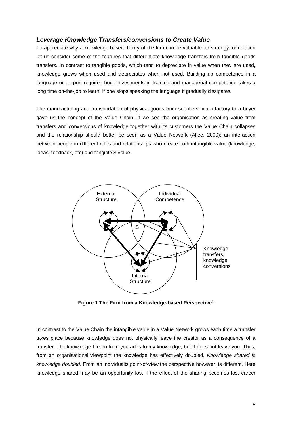# *Leverage Knowledge Transfers/conversions to Create Value*

To appreciate why a knowledge-based theory of the firm can be valuable for strategy formulation let us consider some of the features that differentiate knowledge transfers from tangible goods transfers. In contrast to tangible goods, which tend to depreciate in value when they are used, knowledge grows when used and depreciates when not used. Building up competence in a language or a sport requires huge investments in training and managerial competence takes a long time on-the-job to learn. If one stops speaking the language it gradually dissipates.

The manufacturing and transportation of physical goods from suppliers, via a factory to a buyer gave us the concept of the Value Chain. If we see the organisation as creating value from transfers and conversions of knowledge together with its customers the Value Chain collapses and the relationship should better be seen as a Value Network (Allee, 2000); an interaction between people in different roles and relationships who create both intangible value (knowledge, ideas, feedback, etc) and tangible \$-value.



**Figure 1 The Firm from a Knowledge-based Perspective4**

In contrast to the Value Chain the intangible value in a Value Network grows each time a transfer takes place because knowledge does not physically leave the creator as a consequence of a transfer. The knowledge I learn from you adds to my knowledge, but it does not leave you. Thus, from an organisational viewpoint the knowledge has effectively doubled. *Knowledge shared is*  knowledge doubled. From an individual point-of-view the perspective however, is different. Here knowledge shared may be an opportunity lost if the effect of the sharing becomes lost career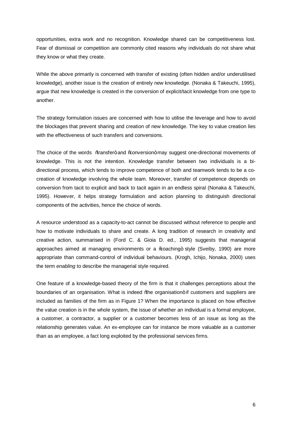opportunities, extra work and no recognition. Knowledge shared can be competitiveness lost. Fear of dismissal or competition are commonly cited reasons why individuals do not share what they know or what they create.

While the above primarily is concerned with transfer of existing (often hidden and/or underutilised knowledge), another issue is the creation of entirely new knowledge. (Nonaka & Takeuchi, 1995), argue that new knowledge is created in the conversion of explicit/tacit knowledge from one type to another.

The strategy formulation issues are concerned with how to utilise the leverage and how to avoid the blockages that prevent sharing and creation of new knowledge. The key to value creation lies with the effectiveness of such transfers and conversions.

The choice of the words %transfer+ and %tonversion+ may suggest one-directional movements of knowledge. This is not the intention. Knowledge transfer between two individuals is a bidirectional process, which tends to improve competence of both and teamwork tends to be a cocreation of knowledge involving the whole team. Moreover, transfer of competence depends on conversion from tacit to explicit and back to tacit again in an endless spiral (Nonaka & Takeuchi, 1995). However, it helps strategy formulation and action planning to distinguish directional components of the activities, hence the choice of words.

A resource understood as a capacity-to-act cannot be discussed without reference to people and how to motivate individuals to share and create. A long tradition of research in creativity and creative action, summarised in (Ford C. & Gioia D. ed., 1995) suggests that managerial approaches aimed at managing environments or a %coaching+ style (Sveiby, 1990) are more appropriate than command-control of individual behaviours. (Krogh, Ichijo, Nonaka, 2000) uses the term *enabling* to describe the managerial style required.

One feature of a knowledge-based theory of the firm is that it challenges perceptions about the boundaries of an organisation. What is indeed % he organisation+ if customers and suppliers are included as families of the firm as in Figure 1? When the importance is placed on how effective the value creation is in the whole system, the issue of whether an individual is a formal employee, a customer, a contractor, a supplier or a customer becomes less of an issue as long as the relationship generates value. An ex-employee can for instance be more valuable as a customer than as an employee, a fact long exploited by the professional services firms.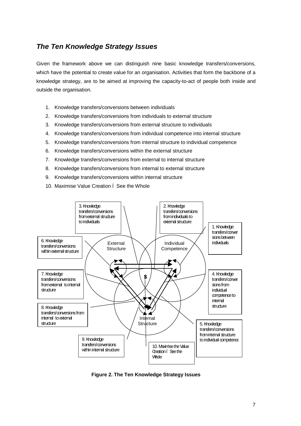# *The Ten Knowledge Strategy Issues*

Given the framework above we can distinguish nine basic knowledge transfers/conversions, which have the potential to create value for an organisation. Activities that form the backbone of a knowledge strategy, are to be aimed at improving the capacity-to-act of people both inside and outside the organisation.

- 1. Knowledge transfers/conversions between individuals
- 2. Knowledge transfers/conversions from individuals to external structure
- 3. Knowledge transfers/conversions from external structure to individuals
- 4. Knowledge transfers/conversions from individual competence into internal structure
- 5. Knowledge transfers/conversions from internal structure to individual competence
- 6. Knowledge transfers/conversions within the external structure
- 7. Knowledge transfers/conversions from external to internal structure
- 8. Knowledge transfers/conversions from internal to external structure
- 9. Knowledge transfers/conversions within internal structure
- 10. Maximise Value Creation . See the Whole



**Figure 2. The Ten Knowledge Strategy Issues**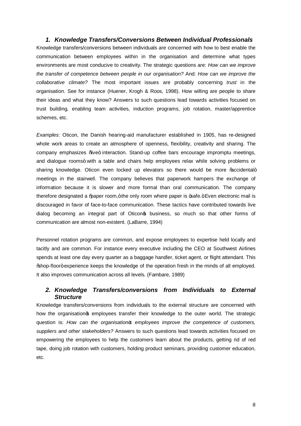## *1. Knowledge Transfers/Conversions Between Individual Professionals*

Knowledge transfers/conversions between individuals are concerned with how to best enable the communication between employees within in the organisation and determine what types environments are most conducive to creativity. The strategic questions are: *How can we improve the transfer of competence between people in our organisation?* And: *How can we improve the collaborative climate?* The most important issues are probably concerning *trust* in the organisation. See for instance (Huener, Krogh & Roos, 1998). How willing are people to share their ideas and what they know? Answers to such questions lead towards activities focused on trust building, enabling team activities, induction programs, job rotation, master/apprentice schemes, etc.

*Examples*: Oticon, the Danish hearing-aid manufacturer established in 1905, has re-designed whole work areas to create an atmosphere of openness, flexibility, creativity and sharing. The company emphasizes  $%$  /we+ interaction. Stand-up coffee bars encourage impromptu meetings, and dialogue rooms+ with a table and chairs help employees relax while solving problems or sharing knowledge. Oticon even locked up elevators so there would be more % accidental+ meetings in the stairwell. The company believes that paperwork hampers the exchange of information because it is slower and more formal than oral communication. The company therefore designated a % aper room, + the only room where paper is  $\texttt{+safe}$ . Even electronic mail is discouraged in favor of face-to-face communication. These tactics have contributed towards live dialog becoming an integral part of Oticonos business, so much so that other forms of communication are almost non-existent. (LaBarre, 1994)

Personnel rotation programs are common, and expose employees to expertise held locally and tacitly and are common. For instance every executive including the CEO at Southwest Airlines spends at least one day every quarter as a baggage handler, ticket agent, or flight attendant. This %hop-floor+experience keeps the knowledge of the operation fresh in the minds of all employed. It also improves communication across all levels. (Fambare, 1989)

### *2. Knowledge Transfers/conversions from Individuals to External Structure*

Knowledge transfers/conversions from individuals to the external structure are concerned with how the organisation semployees transfer their knowledge to the outer world. The strategic question is: *How can the organisation's employees improve the competence of customers, suppliers and other stakeholders?* Answers to such questions lead towards activities focused on empowering the employees to help the customers learn about the products, getting rid of red tape, doing job rotation with customers, holding product seminars, providing customer education, etc.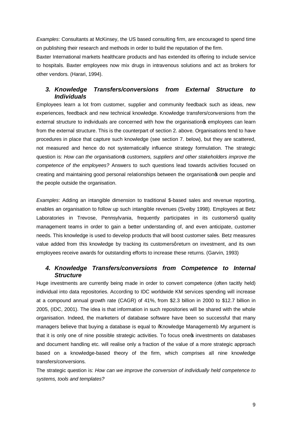*Examples*: Consultants at McKinsey, the US based consulting firm, are encouraged to spend time on publishing their research and methods in order to build the reputation of the firm.

Baxter International markets healthcare products and has extended its offering to include service to hospitals. Baxter employees now mix drugs in intravenous solutions and act as brokers for other vendors. (Harari, 1994).

# *3. Knowledge Transfers/conversions from External Structure to Individuals*

Employees learn a lot from customer, supplier and community feedback such as ideas, new experiences, feedback and new technical knowledge. Knowledge transfers/conversions from the external structure to individuals are concerned with how the organisation temployees can learn from the external structure. This is the counterpart of section 2. above. Organisations tend to have procedures in place that capture such knowledge (see section 7. below), but they are scattered, not measured and hence do not systematically influence strategy formulation. The strategic question is: *How can the organisation's customers, suppliers and other stakeholders improve the competence of the employees?* Answers to such questions lead towards activities focused on creating and maintaining good personal relationships between the organisation was own people and the people outside the organisation.

*Examples*: Adding an intangible dimension to traditional \$-based sales and revenue reporting, enables an organisation to follow up such intangible revenues (Sveiby 1998). Employees at Betz Laboratories in Trevose, Pennsylvania, frequently participates in its customersq quality management teams in order to gain a better understanding of, and even anticipate, customer needs. This knowledge is used to develop products that will boost customer sales. Betz measures value added from this knowledge by tracking its customersqreturn on investment, and its own employees receive awards for outstanding efforts to increase these returns. (Garvin, 1993)

# *4. Knowledge Transfers/conversions from Competence to Internal Structure*

Huge investments are currently being made in order to convert competence (often tacitly held) individual into data repositories. According to IDC worldwide KM services spending will increase at a compound annual growth rate (CAGR) of 41%, from \$2.3 billion in 2000 to \$12.7 billion in 2005, (IDC, 2001). The idea is that information in such repositories will be shared with the whole organisation. Indeed, the marketers of database software have been so successful that many managers believe that buying a database is equal to % mowledge Management+. My argument is that it is only one of nine possible strategic activities. To focus one tnivestments on databases and document handling etc. will realise only a fraction of the value of a more strategic approach based on a knowledge-based theory of the firm, which comprises all nine knowledge transfers/conversions.

The strategic question is: *How can we improve the conversion of individually held competence to systems, tools and templates?*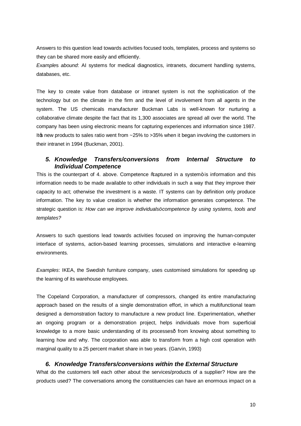Answers to this question lead towards activities focused tools, templates, process and systems so they can be shared more easily and efficiently.

*Example*s *abound*: AI systems for medical diagnostics, intranets, document handling systems, databases, etc.

The key to create value from database or intranet system is not the sophistication of the technology but on the climate in the firm and the level of involvement from all agents in the system. The US chemicals manufacturer Buckman Labs is well-known for nurturing a collaborative climate despite the fact that its 1,300 associates are spread all over the world. The company has been using electronic means for capturing experiences and information since 1987. It products to sales ratio went from ~25% to >35% when it began involving the customers in their intranet in 1994 (Buckman, 2001).

# *5. Knowledge Transfers/conversions from Internal Structure to Individual Competence*

This is the counterpart of 4. above. Competence % aptured in a system+ is information and this information needs to be made available to other individuals in such a way that they improve their capacity to act; otherwise the investment is a waste. IT systems can by definition only produce information. The key to value creation is whether the information generates competence. The strategic question is: *How can we improve individuals' competence by using systems, tools and templates?*

Answers to such questions lead towards activities focused on improving the human-computer interface of systems, action-based learning processes, simulations and interactive e-learning environments.

*Examples*: IKEA, the Swedish furniture company, uses customised simulations for speeding up the learning of its warehouse employees.

The Copeland Corporation, a manufacturer of compressors, changed its entire manufacturing approach based on the results of a single demonstration effort, in which a multifunctional team designed a demonstration factory to manufacture a new product line. Experimentation, whether an ongoing program or a demonstration project, helps individuals move from superficial knowledge to a more basic understanding of its processes- from knowing about something to learning how and why. The corporation was able to transform from a high cost operation with marginal quality to a 25 percent market share in two years. (Garvin, 1993)

#### *6. Knowledge Transfers/conversions within the External Structure*

What do the customers tell each other about the services/products of a supplier? How are the products used? The conversations among the constituencies can have an enormous impact on a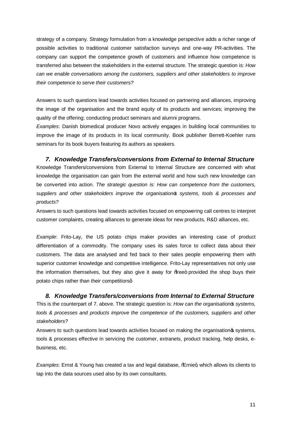strategy of a company. Strategy formulation from a knowledge perspective adds a richer range of possible activities to traditional customer satisfaction surveys and one-way PR-activities. The company can support the competence growth of customers and influence how competence is transferred also between the stakeholders in the external structure. The strategic question is: *How can we enable conversations among the customers, suppliers and other stakeholders to improve their competence to serve their customers?*

Answers to such questions lead towards activities focused on partnering and alliances, improving the image of the organisation and the brand equity of its products and services; improving the quality of the offering; conducting product seminars and alumni programs.

*Examples*: Danish biomedical producer Novo actively engages in building local communities to improve the image of its products in its local community. Book publisher Berrett-Koehler runs seminars for its book buyers featuring its authors as speakers.

*7. Knowledge Transfers/conversions from External to Internal Structure* Knowledge Transfers/conversions from External to Internal Structure are concerned with what knowledge the organisation can gain from the external world and how such new knowledge can be converted into action. *The strategic question is: How can competence from the customers, suppliers and other stakeholders improve the organisation's systems, tools & processes and products?*

Answers to such questions lead towards activities focused on empowering call centres to interpret customer complaints, creating alliances to generate ideas for new products, R&D alliances, etc.

*Example*: Frito-Lay, the US potato chips maker provides an interesting case of product differentiation of a commodity. The company uses its sales force to collect data about their customers. The data are analysed and fed back to their sales people empowering them with superior customer knowledge and competitive intelligence. Frito-Lay representatives not only use the information themselves, but they also give it away for % the et provided the shop buys their potato chips rather than their competitiorsq

# *8. Knowledge Transfers/conversions from Internal to External Structure*

This is the counterpart of 7. above. The strategic question is: *How can the organisation's systems, tools & processes and products improve the competence of the customers, suppliers and other stakeholders?*

Answers to such questions lead towards activities focused on making the organisation  $\phi$  systems, tools & processes effective in servicing the customer, extranets, product tracking, help desks, ebusiness, etc.

*Examples*: Ernst & Young has created a tax and legal database, "Ernie", which allows its clients to tap into the data sources used also by its own consultants.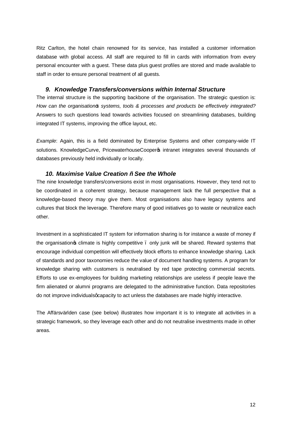Ritz Carlton, the hotel chain renowned for its service, has installed a customer information database with global access. All staff are required to fill in cards with information from every personal encounter with a guest. These data plus guest profiles are stored and made available to staff in order to ensure personal treatment of all guests.

### *9. Knowledge Transfers/conversions within Internal Structure*

The internal structure is the supporting backbone of the organisation. The strategic question is: *How can the organisation's systems, tools & processes and products be effectively integrated?*  Answers to such questions lead towards activities focused on streamlining databases, building integrated IT systems, improving the office layout, etc.

*Example*: Again, this is a field dominated by Enterprise Systems and other company-wide IT solutions. KnowledgeCurve, PricewaterhouseCooperos intranet integrates several thousands of databases previously held individually or locally.

### *10. Maximise Value Creation – See the Whole*

The nine knowledge transfers/conversions exist in most organisations. However, they tend not to be coordinated in a coherent strategy, because management lack the full perspective that a knowledge-based theory may give them. Most organisations also have legacy systems and cultures that block the leverage. Therefore many of good initiatives go to waste or neutralize each other.

Investment in a sophisticated IT system for information sharing is for instance a waste of money if the organisation os climate is highly competitive . only junk will be shared. Reward systems that encourage individual competition will effectively block efforts to enhance knowledge sharing. Lack of standards and poor taxonomies reduce the value of document handling systems. A program for knowledge sharing with customers is neutralised by red tape protecting commercial secrets. Efforts to use ex-employees for building marketing relationships are useless if people leave the firm alienated or alumni programs are delegated to the administrative function. Data repositories do not improve individuals gcapacity to act unless the databases are made highly interactive.

The Affärsvärlden case (see below) illustrates how important it is to integrate all activities in a strategic framework, so they leverage each other and do not neutralise investments made in other areas.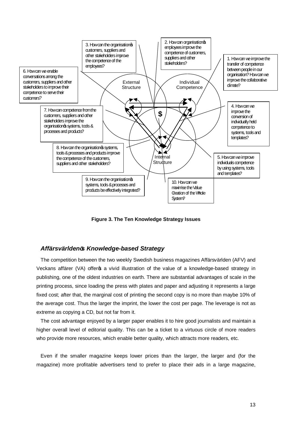

**Figure 3. The Ten Knowledge Strategy Issues**

#### *Affärsvärlden's Knowledge-based Strategy*

The competition between the two weekly Swedish business magazines Affärsvärlden (AFV) and Veckans affärer (VA) offer a vivid illustration of the value of a knowledge-based strategy in publishing, one of the oldest industries on earth. There are substantial advantages of scale in the printing process, since loading the press with plates and paper and adjusting it represents a large fixed cost; after that, the marginal cost of printing the second copy is no more than maybe 10% of the average cost. Thus the larger the imprint, the lower the cost per page. The leverage is not as extreme as copying a CD, but not far from it.

The cost advantage enjoyed by a larger paper enables it to hire good journalists and maintain a higher overall level of editorial quality. This can be a ticket to a virtuous circle of more readers who provide more resources, which enable better quality, which attracts more readers, etc.

Even if the smaller magazine keeps lower prices than the larger, the larger and (for the magazine) more profitable advertisers tend to prefer to place their ads in a large magazine,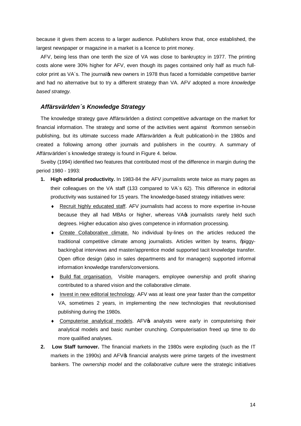because it gives them access to a larger audience. Publishers know that, once established, the largest newspaper or magazine in a market is a licence to print money.

AFV, being less than one tenth the size of VA was close to bankruptcy in 1977. The printing costs alone were 30% higher for AFV, even though its pages contained only half as much fullcolor print as VA's. The journalos new owners in 1978 thus faced a formidable competitive barrier and had no alternative but to try a different strategy than VA. AFV adopted a more *knowledge based strategy.*

#### *Affärsvärlden´s Knowledge Strategy*

The knowledge strategy gave Affärsvärlden a distinct competitive advantage on the market for financial information. The strategy and some of the activities went against ‰mmon sense+ in publishing, but its ultimate success made Affärsvärlden a ‰ult publication+ in the 1980s and created a following among other journals and publishers in the country. A summary of Affärsvärlden´s knowledge strategy is found in Figure 4. below.

Sveiby (1994) identified two features that contributed most of the difference in margin during the period 1980 - 1993:

- **1. High editorial productivity.** In 1983-84 the AFV journalists wrote twice as many pages as their colleagues on the VA staff (133 compared to VA´s 62). This difference in editorial productivity was sustained for 15 years. The knowledge-based strategy initiatives were:
	- ® Recruit highly educated staff. AFV journalists had access to more expertise in-house because they all had MBAs or higher, whereas VA $\circ$  journalists rarely held such degrees. Higher education also gives competence in information processing.
	- ® Create Collaborative climate. No individual by-lines on the articles reduced the traditional competitive climate among journalists. Articles written by teams, % agovbacking+ at interviews and master/apprentice model supported tacit knowledge transfer. Open office design (also in sales departments and for managers) supported informal information knowledge transfers/conversions.
	- ® Build flat organisation. Visible managers, employee ownership and profit sharing contributed to a shared vision and the collaborative climate.
	- ® Invest in new editorial technology. AFV was at least one year faster than the competitor VA, sometimes 2 years, in implementing the new technologies that revolutionised publishing during the 1980s.
	- Computerise analytical models. AFV $\circ$  analysts were early in computerising their analytical models and basic number crunching. Computerisation freed up time to do more qualified analyses.
- **2. Low Staff turnover.** The financial markets in the 1980s were exploding (such as the IT markets in the 1990s) and AFV $\sigma$  financial analysts were prime targets of the investment bankers. The *ownership model* and the *collaborative culture* were the strategic initiatives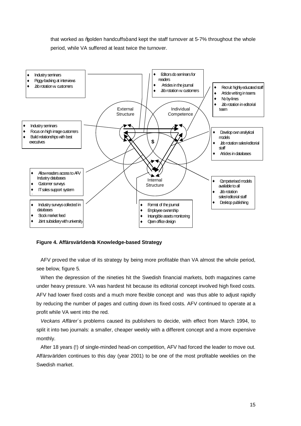that worked as % polden handcuffs+ and kept the staff turnover at 5-7% throughout the whole period, while VA suffered at least twice the turnover.



#### **Figure 4. Affärsvärlden's Knowledge-based Strategy**

AFV proved the value of its strategy by being more profitable than VA almost the whole period, see below, figure 5.

When the depression of the nineties hit the Swedish financial markets, both magazines came under heavy pressure. VA was hardest hit because its editorial concept involved high fixed costs. AFV had lower fixed costs and a much more flexible concept and was thus able to adjust rapidly by reducing the number of pages and cutting down its fixed costs. AFV continued to operate at a profit while VA went into the red.

*Veckans Affärer*´s problems caused its publishers to decide, with effect from March 1994, to split it into two journals: a smaller, cheaper weekly with a different concept and a more expensive monthly.

After 18 years (!) of single-minded head-on competition, AFV had forced the leader to move out. Affärsvärlden continues to this day (year 2001) to be one of the most profitable weeklies on the Swedish market.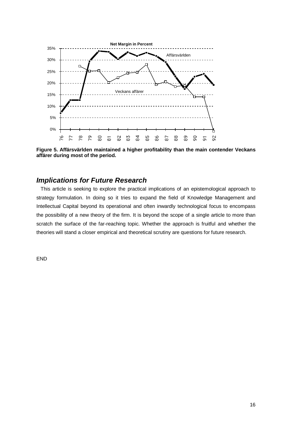

**Figure 5. Affärsvärlden maintained a higher profitability than the main contender Veckans affärer during most of the period.**

# *Implications for Future Research*

This article is seeking to explore the practical implications of an epistemological approach to strategy formulation. In doing so it tries to expand the field of Knowledge Management and Intellectual Capital beyond its operational and often inwardly technological focus to encompass the possibility of a new theory of the firm. It is beyond the scope of a single article to more than scratch the surface of the far-reaching topic. Whether the approach is fruitful and whether the theories will stand a closer empirical and theoretical scrutiny are questions for future research.

END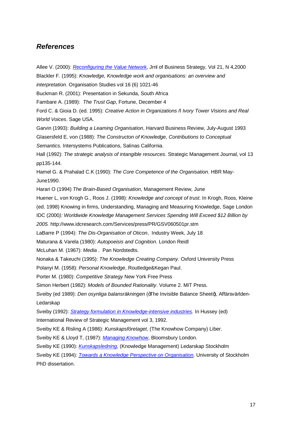# *References*

- Allee V. (2000): *[Reconfiguring the Value Network](http://www.sveiby.com.au/Allee-ValueNets.htm)*, Jrnl of Business Strategy, Vol 21, N 4,2000
- Blackler F. (1995): *Knowledge, Knowledge work and organisations: an overview and*

*interpretation.* Organisation Studies vol 16 (6) 1021-46

Buckman R. (2001): Presentation in Sekunda, South Africa

Fambare A. (1989): *The Trust Gap*, Fortune, December 4

Ford C. & Gioia D. (ed. 1995): *Creative Action in Organizations – Ivory Tower Visions and Real World Voices*. Sage USA.

Garvin (1993): *Building a Leaming Organisation*, Harvard Business Review, July-August 1993 Glasersfeld E. von (1988): *The Constructon of Knowledge, Contributions to Conceptual Semantics.* Intersystems Publications, Salinas California.

Hall (1992): *The strategic analysis of intangible resources*. Strategic Management Journal, vol 13 pp135-144.

Hamel G. & Prahalad C.K (1990): *The Core Competence of the Organisation*. HBR May-June1990.

Harari O (1994) *The Brain-Based Organisation*, Management Review, June

Huener L, von Krogh G., Roos J. (1998): *Knowledge and concept of trust*. In Krogh, Roos, Kleine (ed. 1998) Knowing in firms, Understanding, Managing and Measuring Knowledge, Sage London IDC (2000*): Worldwide Knowledge Management Services Spending Will Exceed \$12 Billion by 2005.* http://www.idcresearch.com/Services/press/PR/GSV060501pr.stm

LaBarre P (1994): *The Dis-Organisation of Oticon*, Industry Week, July 18

Maturana & Varela (1980): *Autopoeisis and Cognition*. London Reidl

McLuhan M. (1967): *Media* . Pan Nordstedts.

Nonaka & Takeuchi (1995): *The Knowledge Creating Company*. Oxford University Press

Polanyi M. (1958): *Personal Knowledge*, Routledge&Kegan Paul.

Porter M. (1980): *Competitive Strategy* New York Free Press

Simon Herbert (1982): *Models of Bounded Rationality*. Volume 2. MIT Press.

Sveiby (ed 1989): *Den osynliga balansräkningen* (+The Invisible Balance Sheet+), Affärsvärlden-Ledarskap

Sveiby (1992): *[Strategy formulation in Knowledge-intensive industries.](http://www.sveiby.com.au/KnowledgeStrategy.htm)* In Hussey (ed)

International Review of Strategic Management vol 3, 1992.

Sveiby KE & Risling A (1986): *Kunskapsföretaget*, (The Knowhow Company) Liber.

Sveiby KE & Lloyd T, (1987): *[Managing Knowhow](http://www.sveiby.com.au/ManKnowHow.htm)*, Bloomsbury London.

Sveiby KE (1990): *[Kunskapsledning](http://www.sveiby.com.au/Kunskapsledning/KunskLedning.htm)*, (Knowledge Management) Ledarskap Stockholm

Sveiby KE (1994): *[Towards a Knowledge Perspective on Organisation](http://www.sveiby.com.au/Towards.htm)*. University of Stockholm PhD dissertation.